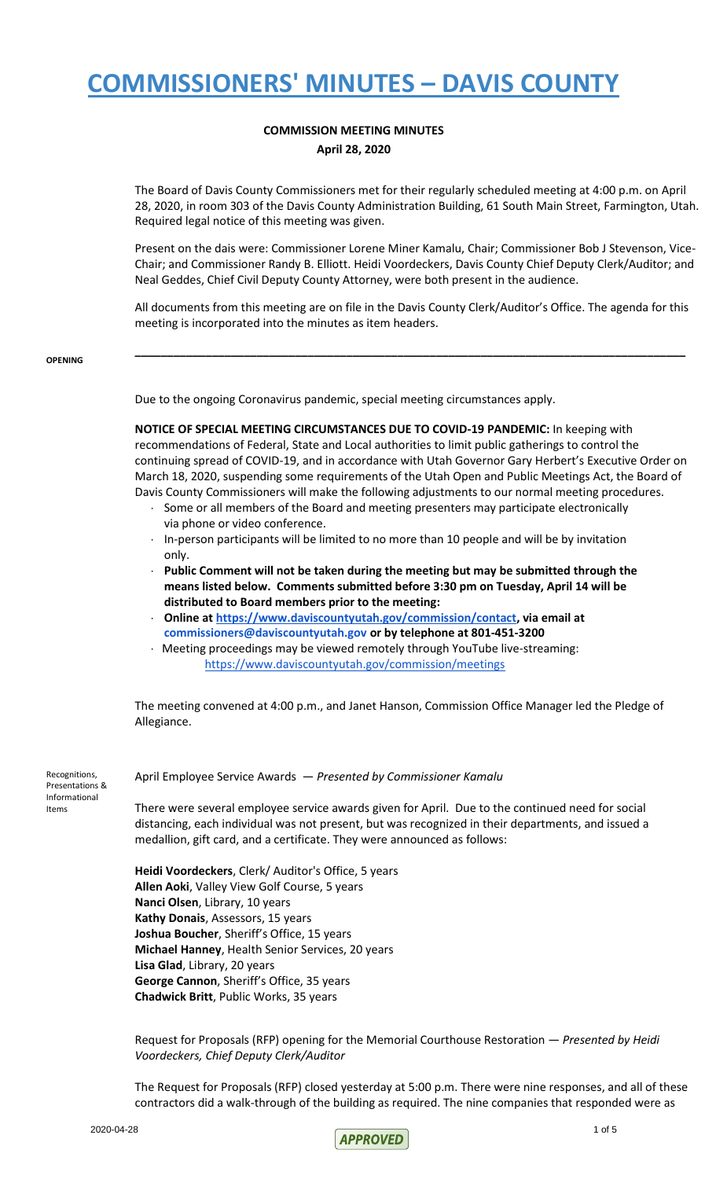### **COMMISSION MEETING MINUTES April 28, 2020**

The Board of Davis County Commissioners met for their regularly scheduled meeting at 4:00 p.m. on April 28, 2020, in room 303 of the Davis County Administration Building, 61 South Main Street, Farmington, Utah. Required legal notice of this meeting was given.

Present on the dais were: Commissioner Lorene Miner Kamalu, Chair; Commissioner Bob J Stevenson, Vice-Chair; and Commissioner Randy B. Elliott. Heidi Voordeckers, Davis County Chief Deputy Clerk/Auditor; and Neal Geddes, Chief Civil Deputy County Attorney, were both present in the audience.

All documents from this meeting are on file in the Davis County Clerk/Auditor's Office. The agenda for this meeting is incorporated into the minutes as item headers.

**\_\_\_\_\_\_\_\_\_\_\_\_\_\_\_\_\_\_\_\_\_\_\_\_\_\_\_\_\_\_\_\_\_\_\_\_\_\_\_\_\_\_\_\_\_\_\_\_\_\_\_\_\_\_\_\_\_\_\_\_\_\_\_\_\_\_\_\_\_\_\_\_\_\_\_\_\_\_\_\_\_\_\_\_\_\_**

#### **OPENING**

Due to the ongoing Coronavirus pandemic, special meeting circumstances apply.

**NOTICE OF SPECIAL MEETING CIRCUMSTANCES DUE TO COVID-19 PANDEMIC:** In keeping with recommendations of Federal, State and Local authorities to limit public gatherings to control the continuing spread of COVID-19, and in accordance with Utah Governor Gary Herbert's Executive Order on March 18, 2020, suspending some requirements of the Utah Open and Public Meetings Act, the Board of Davis County Commissioners will make the following adjustments to our normal meeting procedures.

- · Some or all members of the Board and meeting presenters may participate electronically via phone or video conference.
- · In-person participants will be limited to no more than 10 people and will be by invitation only.
- · **Public Comment will not be taken during the meeting but may be submitted through the means listed below. Comments submitted before 3:30 pm on Tuesday, April 14 will be distributed to Board members prior to the meeting:**
- · **Online at [https://www.daviscountyutah.gov/commission/contact,](https://www.daviscountyutah.gov/commission/contact) via email at commissioners@daviscountyutah.gov or by telephone at 801-451-3200**
- · Meeting proceedings may be viewed remotely through YouTube live-streaming: <https://www.daviscountyutah.gov/commission/meetings>

The meeting convened at 4:00 p.m., and Janet Hanson, Commission Office Manager led the Pledge of Allegiance.

Recognitions, Presentations & Informational Items

### April Employee Service Awards — *Presented by Commissioner Kamalu*

There were several employee service awards given for April. Due to the continued need for social distancing, each individual was not present, but was recognized in their departments, and issued a medallion, gift card, and a certificate. They were announced as follows:

**Heidi Voordeckers**, Clerk/ Auditor's Office, 5 years **Allen Aoki**, Valley View Golf Course, 5 years **Nanci Olsen**, Library, 10 years **Kathy Donais**, Assessors, 15 years **Joshua Boucher**, Sheriff's Office, 15 years **Michael Hanney**, Health Senior Services, 20 years **Lisa Glad**, Library, 20 years **George Cannon**, Sheriff's Office, 35 years **Chadwick Britt**, Public Works, 35 years

Request for Proposals (RFP) opening for the Memorial Courthouse Restoration — *Presented by Heidi Voordeckers, Chief Deputy Clerk/Auditor*

The Request for Proposals (RFP) closed yesterday at 5:00 p.m. There were nine responses, and all of these contractors did a walk-through of the building as required. The nine companies that responded were as

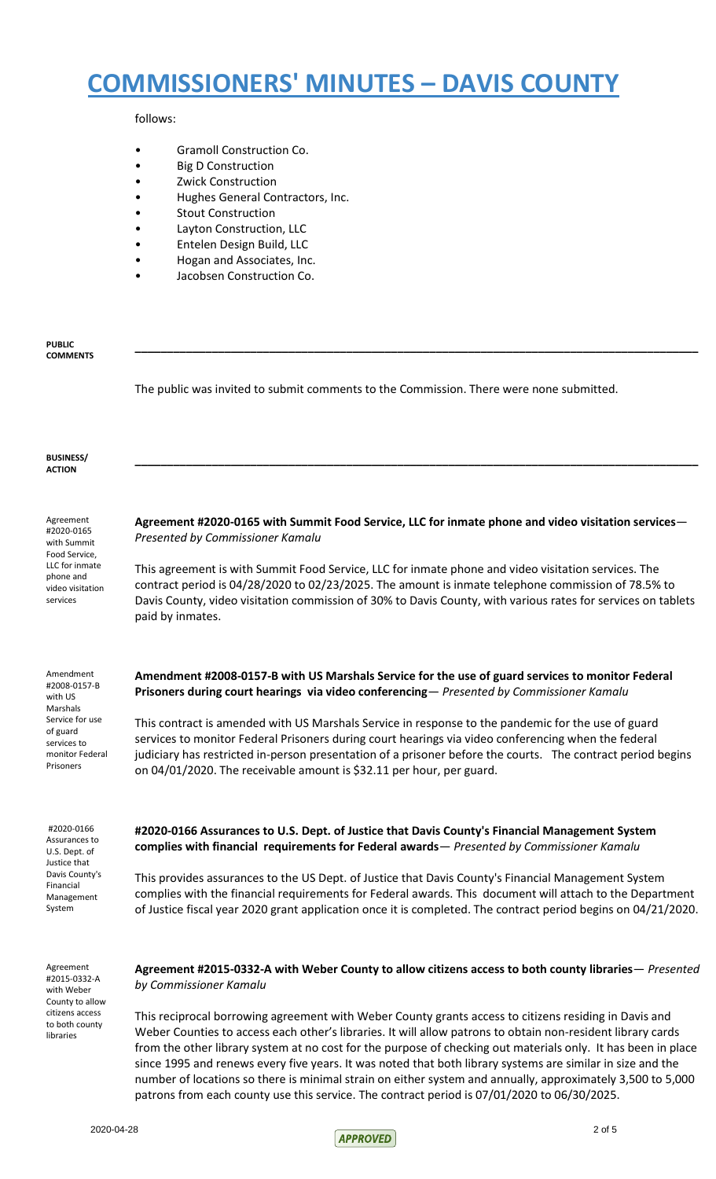### follows:

- Gramoll Construction Co.
- Big D Construction
- Zwick Construction
- Hughes General Contractors, Inc.
- Stout Construction
- Layton Construction, LLC
- Entelen Design Build, LLC
- Hogan and Associates, Inc.
- Jacobsen Construction Co.

#### **PUBLIC COMMENTS**

The public was invited to submit comments to the Commission. There were none submitted.

#### **BUSINESS/ ACTION**

Agreement #2020-0165 with Summit Food Service, LLC for inmate phone and video visitation services

**Agreement #2020-0165 with Summit Food Service, LLC for inmate phone and video visitation services**— *Presented by Commissioner Kamalu*

**\_\_\_\_\_\_\_\_\_\_\_\_\_\_\_\_\_\_\_\_\_\_\_\_\_\_\_\_\_\_\_\_\_\_\_\_\_\_\_\_\_\_\_\_\_\_\_\_\_\_\_\_\_\_\_\_\_\_\_\_\_\_\_\_\_\_\_\_\_\_\_\_\_\_\_\_\_\_\_\_\_\_\_\_\_\_\_\_**

**\_\_\_\_\_\_\_\_\_\_\_\_\_\_\_\_\_\_\_\_\_\_\_\_\_\_\_\_\_\_\_\_\_\_\_\_\_\_\_\_\_\_\_\_\_\_\_\_\_\_\_\_\_\_\_\_\_\_\_\_\_\_\_\_\_\_\_\_\_\_\_\_\_\_\_\_\_\_\_\_\_\_\_\_\_\_\_\_**

This agreement is with Summit Food Service, LLC for inmate phone and video visitation services. The contract period is 04/28/2020 to 02/23/2025. The amount is inmate telephone commission of 78.5% to Davis County, video visitation commission of 30% to Davis County, with various rates for services on tablets paid by inmates.

#2008-0157-B with US Marshals Service for use of guard services to monitor Federal Prisoners

Amendment

#2020-0166 Assurances to U.S. Dept. of Justice that Davis County's Financial Management System

Agreement #2015-0332-A with Weber County to allow citizens access to both county libraries

**Amendment #2008-0157-B with US Marshals Service for the use of guard services to monitor Federal Prisoners during court hearings via video conferencing**— *Presented by Commissioner Kamalu*

This contract is amended with US Marshals Service in response to the pandemic for the use of guard services to monitor Federal Prisoners during court hearings via video conferencing when the federal judiciary has restricted in-person presentation of a prisoner before the courts. The contract period begins on 04/01/2020. The receivable amount is \$32.11 per hour, per guard.

**#2020-0166 Assurances to U.S. Dept. of Justice that Davis County's Financial Management System complies with financial requirements for Federal awards**— *Presented by Commissioner Kamalu*

This provides assurances to the US Dept. of Justice that Davis County's Financial Management System complies with the financial requirements for Federal awards. This document will attach to the Department of Justice fiscal year 2020 grant application once it is completed. The contract period begins on 04/21/2020.

**Agreement #2015-0332-A with Weber County to allow citizens access to both county libraries**— *Presented by Commissioner Kamalu*

This reciprocal borrowing agreement with Weber County grants access to citizens residing in Davis and Weber Counties to access each other's libraries. It will allow patrons to obtain non-resident library cards from the other library system at no cost for the purpose of checking out materials only. It has been in place since 1995 and renews every five years. It was noted that both library systems are similar in size and the number of locations so there is minimal strain on either system and annually, approximately 3,500 to 5,000 patrons from each county use this service. The contract period is 07/01/2020 to 06/30/2025.

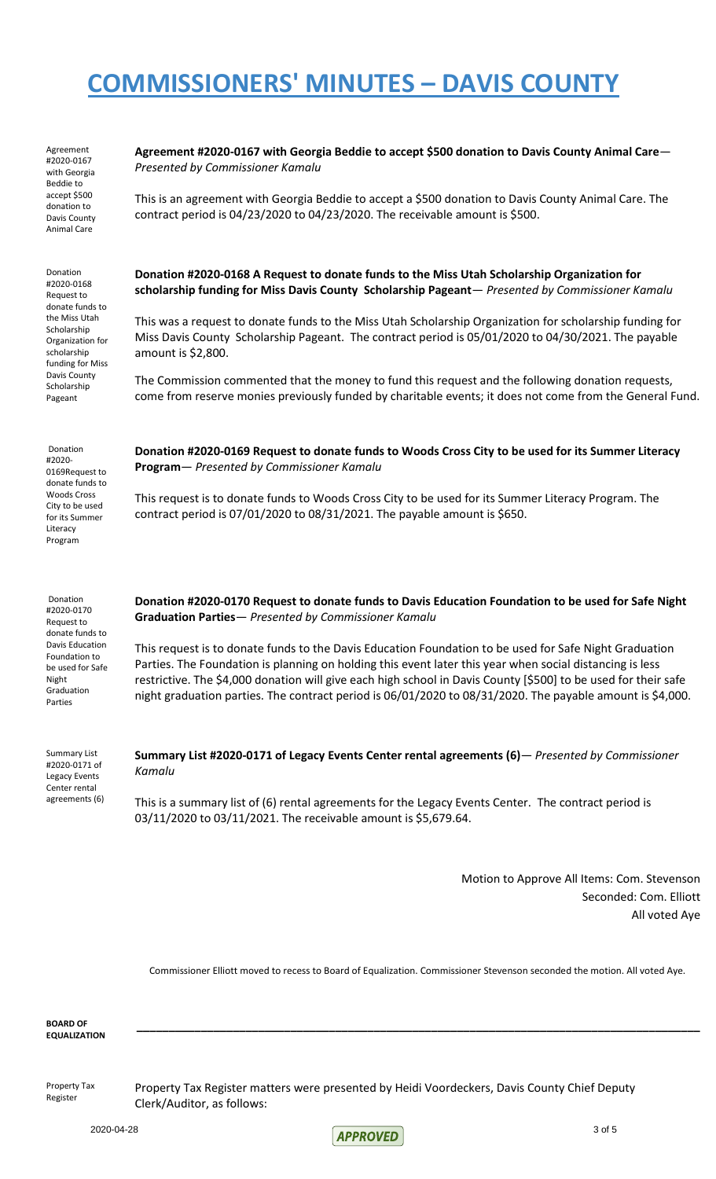Agreement #2020-0167 with Georgia Beddie to accept \$500 donation to Davis County Animal Care

Donation

#2020-0168 Request to donate funds to the Miss Utah Scholarship Organization for scholarship funding for Miss Davis County Scholarship Pageant

Donation #2020- 0169Request to donate funds to Woods Cross City to be used for its Summer Literacy Program

Donation #2020-0170 Request to donate funds to Davis Education Foundation to be used for Safe Night Graduation Parties

| Agreement #2020-0167 with Georgia Beddie to accept \$500 donation to Davis County Animal Care— |
|------------------------------------------------------------------------------------------------|
| Presented by Commissioner Kamalu                                                               |
|                                                                                                |

This is an agreement with Georgia Beddie to accept a \$500 donation to Davis County Animal Care. The contract period is 04/23/2020 to 04/23/2020. The receivable amount is \$500.

### **Donation #2020-0168 A Request to donate funds to the Miss Utah Scholarship Organization for scholarship funding for Miss Davis County Scholarship Pageant**— *Presented by Commissioner Kamalu*

This was a request to donate funds to the Miss Utah Scholarship Organization for scholarship funding for Miss Davis County Scholarship Pageant. The contract period is 05/01/2020 to 04/30/2021. The payable amount is \$2,800.

The Commission commented that the money to fund this request and the following donation requests, come from reserve monies previously funded by charitable events; it does not come from the General Fund.

**Donation #2020-0169 Request to donate funds to Woods Cross City to be used for its Summer Literacy Program**— *Presented by Commissioner Kamalu*

This request is to donate funds to Woods Cross City to be used for its Summer Literacy Program. The contract period is 07/01/2020 to 08/31/2021. The payable amount is \$650.

**Donation #2020-0170 Request to donate funds to Davis Education Foundation to be used for Safe Night Graduation Parties**— *Presented by Commissioner Kamalu*

This request is to donate funds to the Davis Education Foundation to be used for Safe Night Graduation Parties. The Foundation is planning on holding this event later this year when social distancing is less restrictive. The \$4,000 donation will give each high school in Davis County [\$500] to be used for their safe night graduation parties. The contract period is 06/01/2020 to 08/31/2020. The payable amount is \$4,000.

| <b>Summary List</b> |
|---------------------|
| #2020-0171 of       |
| Legacy Events       |
| Center rental       |
| agreements (6)      |

**Summary List #2020-0171 of Legacy Events Center rental agreements (6)**— *Presented by Commissioner Kamalu*

This is a summary list of (6) rental agreements for the Legacy Events Center. The contract period is 03/11/2020 to 03/11/2021. The receivable amount is \$5,679.64.

> Motion to Approve All Items: Com. Stevenson Seconded: Com. Elliott All voted Aye

Commissioner Elliott moved to recess to Board of Equalization. Commissioner Stevenson seconded the motion. All voted Aye.

**\_\_\_\_\_\_\_\_\_\_\_\_\_\_\_\_\_\_\_\_\_\_\_\_\_\_\_\_\_\_\_\_\_\_\_\_\_\_\_\_\_\_\_\_\_\_\_\_\_\_\_\_\_\_\_\_\_\_\_\_\_\_\_\_\_\_\_\_\_\_\_\_\_\_\_\_\_\_\_\_\_\_\_\_\_\_\_\_**

**BOARD OF EQUALIZATION**

Property Tax Register

Property Tax Register matters were presented by Heidi Voordeckers, Davis County Chief Deputy Clerk/Auditor, as follows:

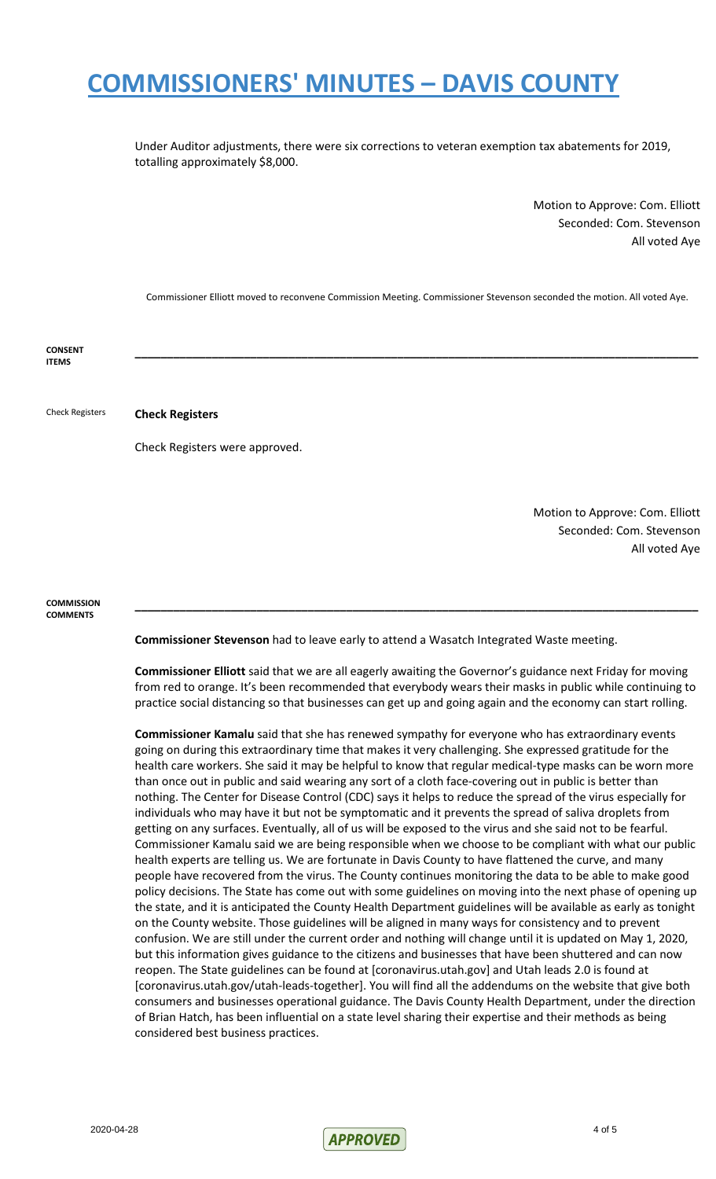Under Auditor adjustments, there were six corrections to veteran exemption tax abatements for 2019, totalling approximately \$8,000.

> Motion to Approve: Com. Elliott Seconded: Com. Stevenson All voted Aye

Commissioner Elliott moved to reconvene Commission Meeting. Commissioner Stevenson seconded the motion. All voted Aye.

**\_\_\_\_\_\_\_\_\_\_\_\_\_\_\_\_\_\_\_\_\_\_\_\_\_\_\_\_\_\_\_\_\_\_\_\_\_\_\_\_\_\_\_\_\_\_\_\_\_\_\_\_\_\_\_\_\_\_\_\_\_\_\_\_\_\_\_\_\_\_\_\_\_\_\_\_\_\_\_\_\_\_\_\_\_\_\_\_**

**CONSENT ITEMS**

Check Registers **Check Registers**

Check Registers were approved.

Motion to Approve: Com. Elliott Seconded: Com. Stevenson All voted Aye

**COMMISSION COMMENTS**

**Commissioner Stevenson** had to leave early to attend a Wasatch Integrated Waste meeting.

**Commissioner Elliott** said that we are all eagerly awaiting the Governor's guidance next Friday for moving from red to orange. It's been recommended that everybody wears their masks in public while continuing to practice social distancing so that businesses can get up and going again and the economy can start rolling.

**\_\_\_\_\_\_\_\_\_\_\_\_\_\_\_\_\_\_\_\_\_\_\_\_\_\_\_\_\_\_\_\_\_\_\_\_\_\_\_\_\_\_\_\_\_\_\_\_\_\_\_\_\_\_\_\_\_\_\_\_\_\_\_\_\_\_\_\_\_\_\_\_\_\_\_\_\_\_\_\_\_\_\_\_\_\_\_\_**

**Commissioner Kamalu** said that she has renewed sympathy for everyone who has extraordinary events going on during this extraordinary time that makes it very challenging. She expressed gratitude for the health care workers. She said it may be helpful to know that regular medical-type masks can be worn more than once out in public and said wearing any sort of a cloth face-covering out in public is better than nothing. The Center for Disease Control (CDC) says it helps to reduce the spread of the virus especially for individuals who may have it but not be symptomatic and it prevents the spread of saliva droplets from getting on any surfaces. Eventually, all of us will be exposed to the virus and she said not to be fearful. Commissioner Kamalu said we are being responsible when we choose to be compliant with what our public health experts are telling us. We are fortunate in Davis County to have flattened the curve, and many people have recovered from the virus. The County continues monitoring the data to be able to make good policy decisions. The State has come out with some guidelines on moving into the next phase of opening up the state, and it is anticipated the County Health Department guidelines will be available as early as tonight on the County website. Those guidelines will be aligned in many ways for consistency and to prevent confusion. We are still under the current order and nothing will change until it is updated on May 1, 2020, but this information gives guidance to the citizens and businesses that have been shuttered and can now reopen. The State guidelines can be found at [coronavirus.utah.gov] and Utah leads 2.0 is found at [coronavirus.utah.gov/utah-leads-together]. You will find all the addendums on the website that give both consumers and businesses operational guidance. The Davis County Health Department, under the direction of Brian Hatch, has been influential on a state level sharing their expertise and their methods as being considered best business practices.